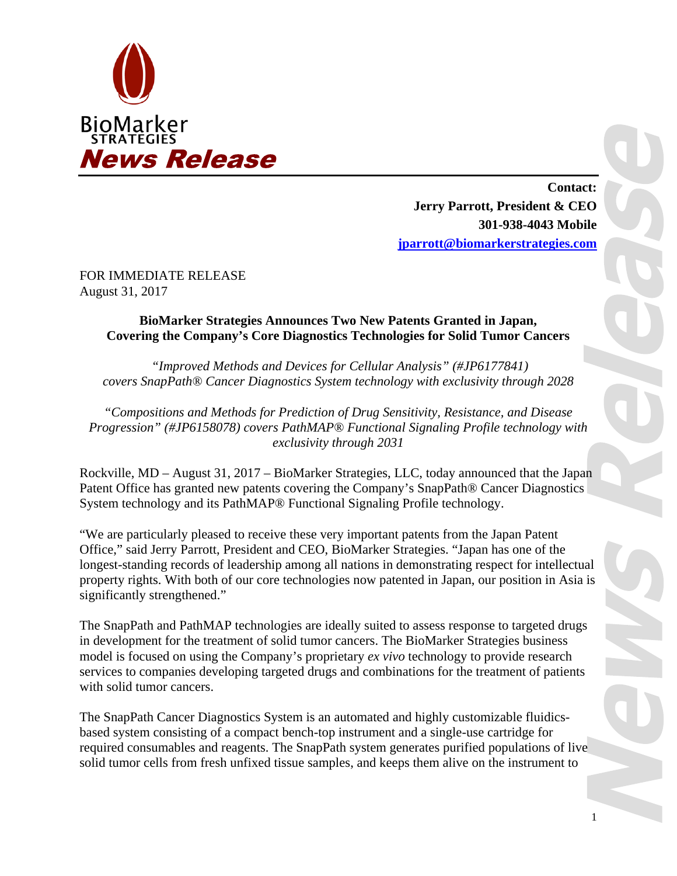

**Contact: Jerry Parrott, President & CEO 301-938-4043 Mobile jparrott@biomarkerstrategies.com**

FOR IMMEDIATE RELEASE August 31, 2017

## **BioMarker Strategies Announces Two New Patents Granted in Japan, Covering the Company's Core Diagnostics Technologies for Solid Tumor Cancers**

 *"Improved Methods and Devices for Cellular Analysis" (#JP6177841) covers SnapPath® Cancer Diagnostics System technology with exclusivity through 2028* 

*"Compositions and Methods for Prediction of Drug Sensitivity, Resistance, and Disease Progression" (#JP6158078) covers PathMAP® Functional Signaling Profile technology with exclusivity through 2031* 

Rockville, MD – August 31, 2017 – BioMarker Strategies, LLC, today announced that the Japan Patent Office has granted new patents covering the Company's SnapPath® Cancer Diagnostics System technology and its PathMAP® Functional Signaling Profile technology.

"We are particularly pleased to receive these very important patents from the Japan Patent Office," said Jerry Parrott, President and CEO, BioMarker Strategies. "Japan has one of the longest-standing records of leadership among all nations in demonstrating respect for intellectual property rights. With both of our core technologies now patented in Japan, our position in Asia is significantly strengthened."

The SnapPath and PathMAP technologies are ideally suited to assess response to targeted drugs in development for the treatment of solid tumor cancers. The BioMarker Strategies business model is focused on using the Company's proprietary *ex vivo* technology to provide research services to companies developing targeted drugs and combinations for the treatment of patients with solid tumor cancers.

The SnapPath Cancer Diagnostics System is an automated and highly customizable fluidicsbased system consisting of a compact bench-top instrument and a single-use cartridge for required consumables and reagents. The SnapPath system generates purified populations of live solid tumor cells from fresh unfixed tissue samples, and keeps them alive on the instrument to